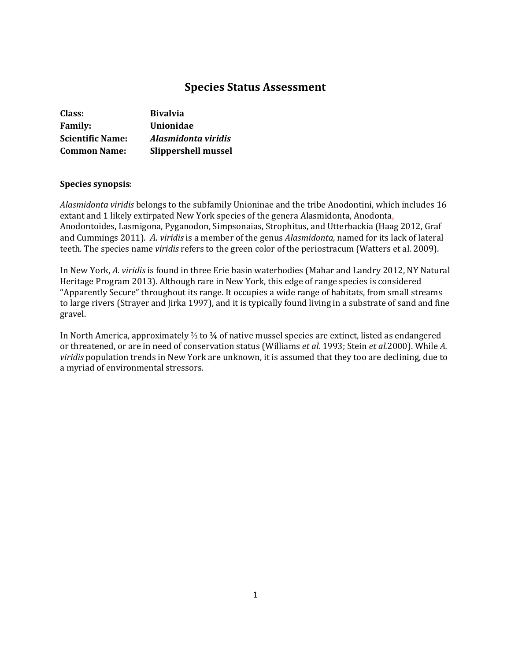# **Species Status Assessment**

| Class:                  | <b>Bivalvia</b>     |
|-------------------------|---------------------|
| <b>Family:</b>          | <b>Unionidae</b>    |
| <b>Scientific Name:</b> | Alasmidonta viridis |
| <b>Common Name:</b>     | Slippershell mussel |

### **Species synopsis**:

*Alasmidonta viridis* belongs to the subfamily Unioninae and the tribe Anodontini, which includes 16 extant and 1 likely extirpated New York species of the genera Alasmidonta, Anodonta, Anodontoides, Lasmigona, Pyganodon, Simpsonaias, Strophitus, and Utterbackia (Haag 2012, Graf and Cummings 2011). *A. viridis* is a member of the genus *Alasmidonta,* named for its lack of lateral teeth*.* The species name *viridis* refers to the green color of the periostracum (Watters et al. 2009).

In New York, *A. viridis* is found in three Erie basin waterbodies (Mahar and Landry 2012, NY Natural Heritage Program 2013). Although rare in New York, this edge of range species is considered "Apparently Secure" throughout its range. It occupies a wide range of habitats, from small streams to large rivers (Strayer and Jirka 1997), and it is typically found living in a substrate of sand and fine gravel.

In North America, approximately ⅔ to ¾ of native mussel species are extinct, listed as endangered or threatened, or are in need of conservation status (Williams *et al.* 1993; Stein *et al.*2000). While *A. viridis* population trends in New York are unknown, it is assumed that they too are declining, due to a myriad of environmental stressors.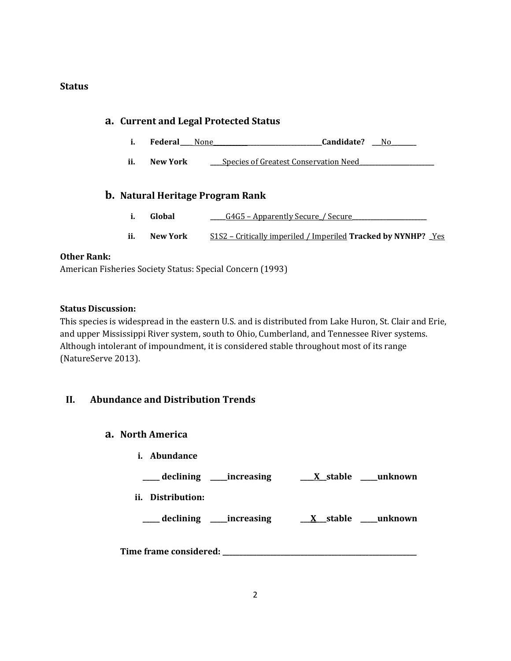## **Status**

| a. Current and Legal Protected Status |                                                                      |                                                                                                     |
|---------------------------------------|----------------------------------------------------------------------|-----------------------------------------------------------------------------------------------------|
| i.                                    | <b>Federal</b> None                                                  | Candidate?<br>No.                                                                                   |
| ii.                                   | New York                                                             | Species of Greatest Conservation Need                                                               |
| i.<br>ii.                             | <b>b.</b> Natural Heritage Program Rank<br>Global<br><b>New York</b> | G4G5 – Apparently Secure / Secure<br>S1S2 – Critically imperiled / Imperiled Tracked by NYNHP? _Yes |

# **Other Rank:**

American Fisheries Society Status: Special Concern (1993)

## **Status Discussion:**

This species is widespread in the eastern U.S. and is distributed from Lake Huron, St. Clair and Erie, and upper Mississippi River system, south to Ohio, Cumberland, and Tennessee River systems. Although intolerant of impoundment, it is considered stable throughout most of its range (NatureServe 2013).

# **II. Abundance and Distribution Trends**

### **a. North America**

**i. Abundance**

| _declining ____increasing     | X stable ____ unknown       |
|-------------------------------|-----------------------------|
| ii. Distribution:             |                             |
| ___ declining _____increasing | <u>X</u> stable ___ unknown |
| Time frame considered:        |                             |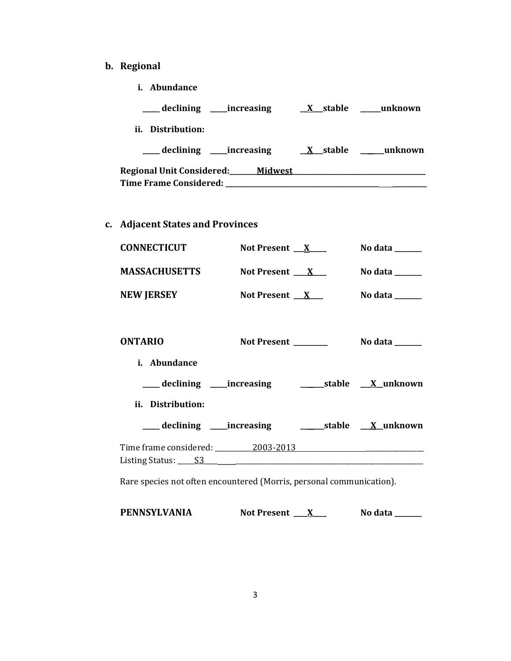- **b. Regional** 
	- **i. Abundance**

| __ declining<br><i>increasing</i>      | X stable | unknown |
|----------------------------------------|----------|---------|
| Distribution:<br>ii.                   |          |         |
| declining ______increasing             | X stable | unknown |
| Regional Unit Considered:__<br>Midwest |          |         |
| <b>Time Frame Considered:</b>          |          |         |

**c. Adjacent States and Provinces**

| <b>CONNECTICUT</b>   | Not Present __X          | No data _ |
|----------------------|--------------------------|-----------|
| <b>MASSACHUSETTS</b> | Not Present _ X          | No data   |
| <b>NEW JERSEY</b>    | Not Present $\mathbf{X}$ | No data   |

| <b>ONTARIO</b>                                                                                                                                                                                                                                                                                                                                                                                                                                                                                   | Not Present                                                       | No data ______                          |
|--------------------------------------------------------------------------------------------------------------------------------------------------------------------------------------------------------------------------------------------------------------------------------------------------------------------------------------------------------------------------------------------------------------------------------------------------------------------------------------------------|-------------------------------------------------------------------|-----------------------------------------|
| i. Abundance                                                                                                                                                                                                                                                                                                                                                                                                                                                                                     |                                                                   |                                         |
|                                                                                                                                                                                                                                                                                                                                                                                                                                                                                                  | ___declining ___increasing ___________stable _ <u>_X_</u> unknown |                                         |
| ii. Distribution:                                                                                                                                                                                                                                                                                                                                                                                                                                                                                |                                                                   |                                         |
| ____ declining ____ increasing                                                                                                                                                                                                                                                                                                                                                                                                                                                                   |                                                                   | _________stable ___ <u>_X__</u> unknown |
| Time frame considered: 2003-2013<br>Listing Status: $\underline{\hspace{1cm}}$ S3 $\underline{\hspace{1cm}}$ $\underline{\hspace{1cm}}$ $\underline{\hspace{1cm}}$ $\underline{\hspace{1cm}}$ $\underline{\hspace{1cm}}$ $\underline{\hspace{1cm}}$ $\underline{\hspace{1cm}}$ $\underline{\hspace{1cm}}$ $\underline{\hspace{1cm}}$ $\underline{\hspace{1cm}}$ $\underline{\hspace{1cm}}$ $\underline{\hspace{1cm}}$ $\underline{\hspace{1cm}}$ $\underline{\hspace{1cm}}$ $\underline{\hspace$ |                                                                   |                                         |

Rare species not often encountered (Morris, personal communication).

| PENNSYLVANIA | <b>Not Present</b> | No data |
|--------------|--------------------|---------|
|--------------|--------------------|---------|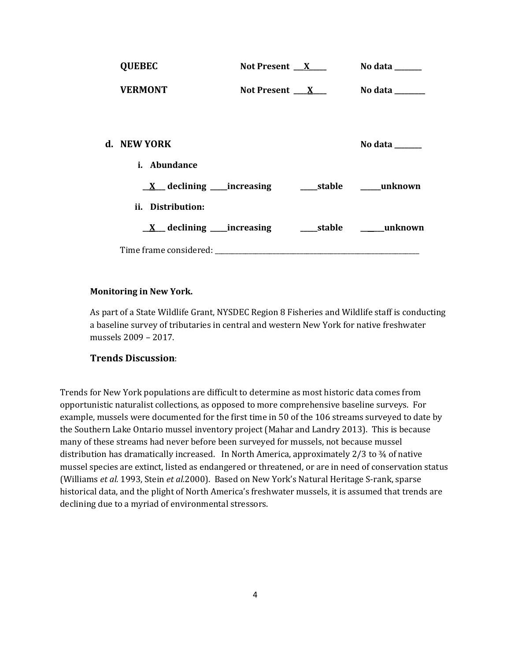| <b>QUEBEC</b>       | Not Present $X$     | No data ______ |
|---------------------|---------------------|----------------|
| <b>VERMONT</b>      | Not Present $X_{-}$ | No data $\_\_$ |
|                     |                     |                |
| d. NEW YORK         |                     | No data ______ |
| <i>i.</i> Abundance |                     |                |
|                     |                     |                |
| ii. Distribution:   |                     |                |
|                     |                     |                |
|                     |                     |                |

### **Monitoring in New York.**

As part of a State Wildlife Grant, NYSDEC Region 8 Fisheries and Wildlife staff is conducting a baseline survey of tributaries in central and western New York for native freshwater mussels 2009 – 2017.

# **Trends Discussion**:

Trends for New York populations are difficult to determine as most historic data comes from opportunistic naturalist collections, as opposed to more comprehensive baseline surveys. For example, mussels were documented for the first time in 50 of the 106 streams surveyed to date by the Southern Lake Ontario mussel inventory project (Mahar and Landry 2013). This is because many of these streams had never before been surveyed for mussels, not because mussel distribution has dramatically increased. In North America, approximately 2/3 to 3⁄4 of native mussel species are extinct, listed as endangered or threatened, or are in need of conservation status (Williams *et al.* 1993, Stein *et al.*2000). Based on New York's Natural Heritage S-rank, sparse historical data, and the plight of North America's freshwater mussels, it is assumed that trends are declining due to a myriad of environmental stressors.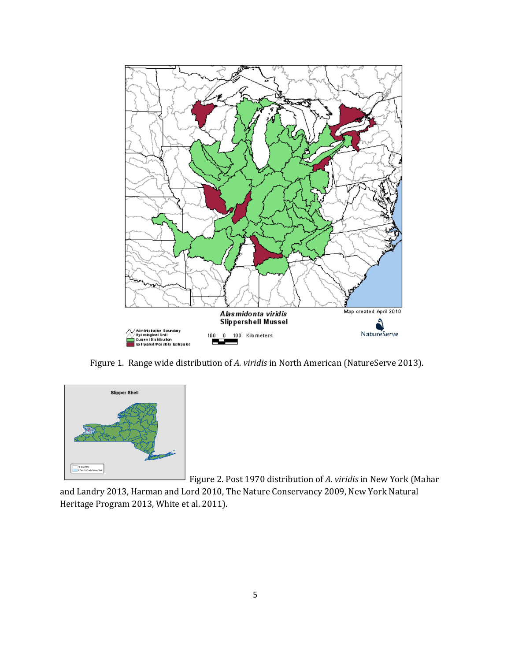

Figure 1. Range wide distribution of *A. viridis* in North American (NatureServe 2013).



Figure 2. Post 1970 distribution of *A. viridis* in New York (Mahar

and Landry 2013, Harman and Lord 2010, The Nature Conservancy 2009, New York Natural Heritage Program 2013, White et al. 2011).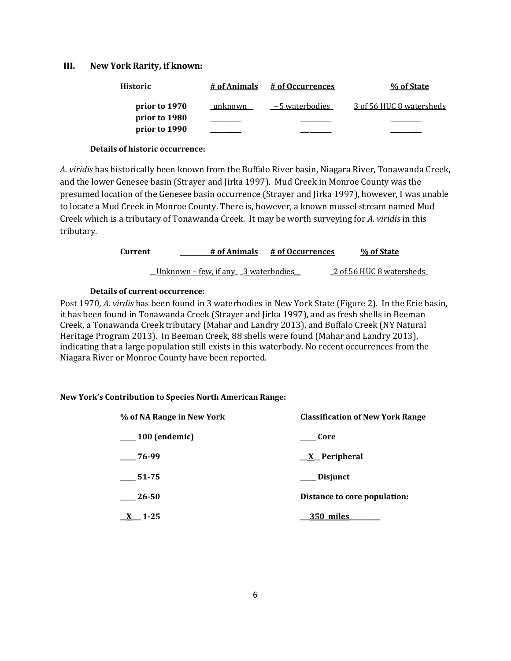#### **III. New York Rarity, if known:**

| Historic      | # of Animals | # of Occurrences     | % of State               |
|---------------|--------------|----------------------|--------------------------|
| prior to 1970 | unknown      | $\sim$ 5 waterbodies | 3 of 56 HUC 8 watersheds |
| prior to 1980 |              |                      |                          |
| prior to 1990 |              |                      |                          |

#### **Details of historic occurrence:**

*A. viridis* has historically been known from the Buffalo River basin, Niagara River, Tonawanda Creek, and the lower Genesee basin (Strayer and Jirka 1997). Mud Creek in Monroe County was the presumed location of the Genesee basin occurrence (Strayer and Jirka 1997), however, I was unable to locate a Mud Creek in Monroe County. There is, however, a known mussel stream named Mud Creek which is a tributary of Tonawanda Creek. It may be worth surveying for *A. viridis* in this tributary.

| Current | # of Animals                                | # of Occurrences | % of State               |
|---------|---------------------------------------------|------------------|--------------------------|
|         | <u> Unknown – few, if any 3 waterbodies</u> |                  | 2 of 56 HUC 8 watersheds |

### **Details of current occurrence:**

Post 1970, *A. virdis* has been found in 3 waterbodies in New York State (Figure 2). In the Erie basin, it has been found in Tonawanda Creek (Strayer and Jirka 1997), and as fresh shells in Beeman Creek, a Tonawanda Creek tributary (Mahar and Landry 2013), and Buffalo Creek (NY Natural Heritage Program 2013). In Beeman Creek, 88 shells were found (Mahar and Landry 2013), indicating that a large population still exists in this waterbody. No recent occurrences from the Niagara River or Monroe County have been reported.

#### **New York's Contribution to Species North American Range:**

| % of NA Range in New York | <b>Classification of New York Range</b> |
|---------------------------|-----------------------------------------|
| $\frac{100}{2}$ (endemic) | Core                                    |
| 76-99                     | <u>X</u> Peripheral                     |
| 51-75                     | ___ Disjunct                            |
| 26-50                     | Distance to core population:            |
| $X = 1-25$                | 350 miles                               |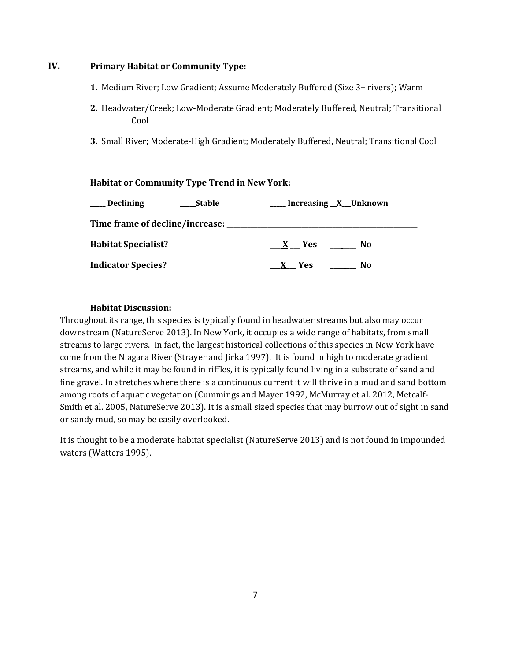# **IV. Primary Habitat or Community Type:**

- **1.** Medium River; Low Gradient; Assume Moderately Buffered (Size 3+ rivers); Warm
- **2.** Headwater/Creek; Low-Moderate Gradient; Moderately Buffered, Neutral; Transitional Cool
- **3.** Small River; Moderate-High Gradient; Moderately Buffered, Neutral; Transitional Cool

## **Habitat or Community Type Trend in New York:**

| <b>Declining</b>           | <b>Stable</b> | Increasing <u>X</u> Unknown |
|----------------------------|---------------|-----------------------------|
|                            |               |                             |
| <b>Habitat Specialist?</b> |               | No<br>X Yes                 |
| <b>Indicator Species?</b>  |               | No<br>X Yes                 |

## **Habitat Discussion:**

Throughout its range, this species is typically found in headwater streams but also may occur downstream (NatureServe 2013). In New York, it occupies a wide range of habitats, from small streams to large rivers. In fact, the largest historical collections of this species in New York have come from the Niagara River (Strayer and Jirka 1997). It is found in high to moderate gradient streams, and while it may be found in riffles, it is typically found living in a substrate of sand and fine gravel. In stretches where there is a continuous current it will thrive in a mud and sand bottom among roots of aquatic vegetation (Cummings and Mayer 1992, McMurray et al. 2012, Metcalf-Smith et al. 2005, NatureServe 2013). It is a small sized species that may burrow out of sight in sand or sandy mud, so may be easily overlooked.

It is thought to be a moderate habitat specialist (NatureServe 2013) and is not found in impounded waters (Watters 1995).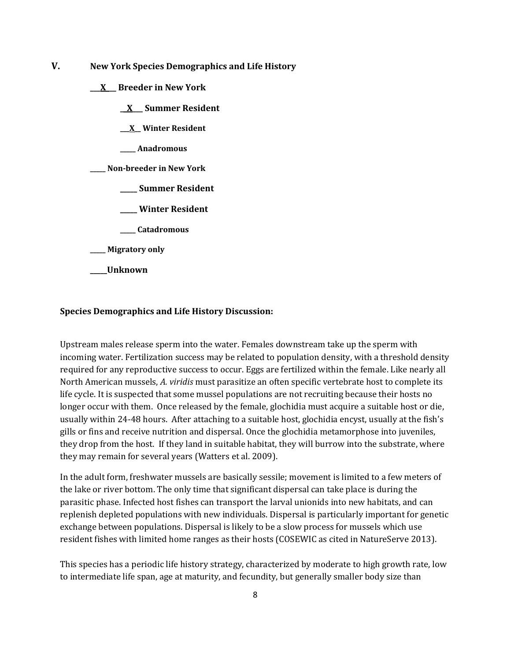- **V. New York Species Demographics and Life History**
	- **\_\_\_X\_\_\_ Breeder in New York**
		- **\_\_X\_\_\_ Summer Resident**
		- **\_\_\_X\_\_ Winter Resident**
		- **\_\_\_\_\_ Anadromous**
	- **\_\_\_\_\_ Non-breeder in New York**
		- **\_\_\_\_\_ Summer Resident**
		- **\_\_\_\_\_ Winter Resident**
		- **\_\_\_\_\_ Catadromous**
	- **\_\_\_\_\_ Migratory only**
	- **\_\_\_\_\_Unknown**

#### **Species Demographics and Life History Discussion:**

Upstream males release sperm into the water. Females downstream take up the sperm with incoming water. Fertilization success may be related to population density, with a threshold density required for any reproductive success to occur. Eggs are fertilized within the female. Like nearly all North American mussels, *A. viridis* must parasitize an often specific vertebrate host to complete its life cycle. It is suspected that some mussel populations are not recruiting because their hosts no longer occur with them. Once released by the female, glochidia must acquire a suitable host or die, usually within 24-48 hours. After attaching to a suitable host, glochidia encyst, usually at the fish's gills or fins and receive nutrition and dispersal. Once the glochidia metamorphose into juveniles, they drop from the host. If they land in suitable habitat, they will burrow into the substrate, where they may remain for several years (Watters et al. 2009).

In the adult form, freshwater mussels are basically sessile; movement is limited to a few meters of the lake or river bottom. The only time that significant dispersal can take place is during the parasitic phase. Infected host fishes can transport the larval unionids into new habitats, and can replenish depleted populations with new individuals. Dispersal is particularly important for genetic exchange between populations. Dispersal is likely to be a slow process for mussels which use resident fishes with limited home ranges as their hosts (COSEWIC as cited in NatureServe 2013).

This species has a periodic life history strategy, characterized by moderate to high growth rate, low to intermediate life span, age at maturity, and fecundity, but generally smaller body size than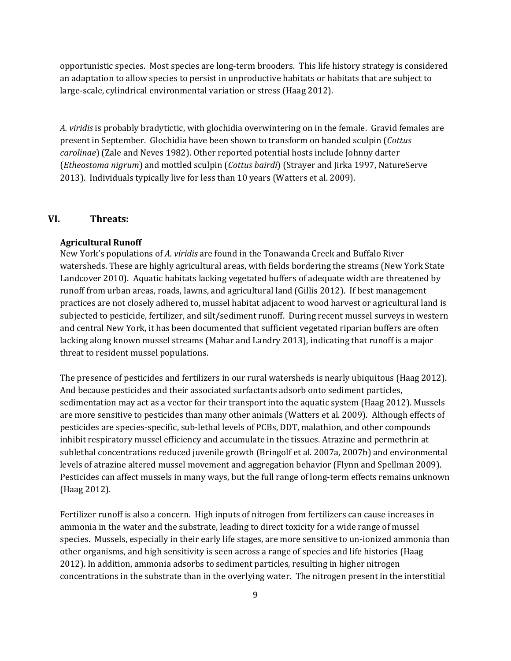opportunistic species. Most species are long-term brooders. This life history strategy is considered an adaptation to allow species to persist in unproductive habitats or habitats that are subject to large-scale, cylindrical environmental variation or stress (Haag 2012).

*A. viridis* is probably bradytictic, with glochidia overwintering on in the female. Gravid females are present in September. Glochidia have been shown to transform on banded sculpin (*Cottus carolinae*) (Zale and Neves 1982). Other reported potential hosts include Johnny darter (*Etheostoma nigrum*) and mottled sculpin (*Cottus bairdi*) (Strayer and Jirka 1997, NatureServe 2013). Individuals typically live for less than 10 years (Watters et al. 2009).

### **VI. Threats:**

### **Agricultural Runoff**

New York's populations of *A. viridis* are found in the Tonawanda Creek and Buffalo River watersheds. These are highly agricultural areas, with fields bordering the streams (New York State Landcover 2010). Aquatic habitats lacking vegetated buffers of adequate width are threatened by runoff from urban areas, roads, lawns, and agricultural land (Gillis 2012). If best management practices are not closely adhered to, mussel habitat adjacent to wood harvest or agricultural land is subjected to pesticide, fertilizer, and silt/sediment runoff. During recent mussel surveys in western and central New York, it has been documented that sufficient vegetated riparian buffers are often lacking along known mussel streams (Mahar and Landry 2013), indicating that runoff is a major threat to resident mussel populations.

The presence of pesticides and fertilizers in our rural watersheds is nearly ubiquitous (Haag 2012). And because pesticides and their associated surfactants adsorb onto sediment particles, sedimentation may act as a vector for their transport into the aquatic system (Haag 2012). Mussels are more sensitive to pesticides than many other animals (Watters et al. 2009). Although effects of pesticides are species-specific, sub-lethal levels of PCBs, DDT, malathion, and other compounds inhibit respiratory mussel efficiency and accumulate in the tissues. Atrazine and permethrin at sublethal concentrations reduced juvenile growth (Bringolf et al. 2007a, 2007b) and environmental levels of atrazine altered mussel movement and aggregation behavior (Flynn and Spellman 2009). Pesticides can affect mussels in many ways, but the full range of long-term effects remains unknown (Haag 2012).

Fertilizer runoff is also a concern. High inputs of nitrogen from fertilizers can cause increases in ammonia in the water and the substrate, leading to direct toxicity for a wide range of mussel species. Mussels, especially in their early life stages, are more sensitive to un-ionized ammonia than other organisms, and high sensitivity is seen across a range of species and life histories (Haag 2012). In addition, ammonia adsorbs to sediment particles, resulting in higher nitrogen concentrations in the substrate than in the overlying water. The nitrogen present in the interstitial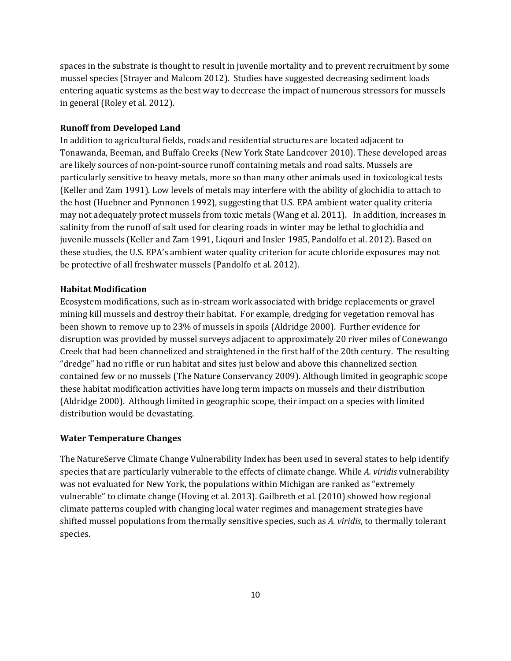spaces in the substrate is thought to result in juvenile mortality and to prevent recruitment by some mussel species (Strayer and Malcom 2012). Studies have suggested decreasing sediment loads entering aquatic systems as the best way to decrease the impact of numerous stressors for mussels in general (Roley et al. 2012).

#### **Runoff from Developed Land**

In addition to agricultural fields, roads and residential structures are located adjacent to Tonawanda, Beeman, and Buffalo Creeks (New York State Landcover 2010). These developed areas are likely sources of non-point-source runoff containing metals and road salts. Mussels are particularly sensitive to heavy metals, more so than many other animals used in toxicological tests (Keller and Zam 1991). Low levels of metals may interfere with the ability of glochidia to attach to the host (Huebner and Pynnonen 1992), suggesting that U.S. EPA ambient water quality criteria may not adequately protect mussels from toxic metals (Wang et al. 2011). In addition, increases in salinity from the runoff of salt used for clearing roads in winter may be lethal to glochidia and juvenile mussels (Keller and Zam 1991, Liqouri and Insler 1985, Pandolfo et al. 2012). Based on these studies, the U.S. EPA's ambient water quality criterion for acute chloride exposures may not be protective of all freshwater mussels (Pandolfo et al. 2012).

### **Habitat Modification**

Ecosystem modifications, such as in-stream work associated with bridge replacements or gravel mining kill mussels and destroy their habitat. For example, dredging for vegetation removal has been shown to remove up to 23% of mussels in spoils (Aldridge 2000). Further evidence for disruption was provided by mussel surveys adjacent to approximately 20 river miles of Conewango Creek that had been channelized and straightened in the first half of the 20th century. The resulting "dredge" had no riffle or run habitat and sites just below and above this channelized section contained few or no mussels (The Nature Conservancy 2009). Although limited in geographic scope these habitat modification activities have long term impacts on mussels and their distribution (Aldridge 2000). Although limited in geographic scope, their impact on a species with limited distribution would be devastating.

#### **Water Temperature Changes**

The NatureServe Climate Change Vulnerability Index has been used in several states to help identify species that are particularly vulnerable to the effects of climate change. While *A. viridis* vulnerability was not evaluated for New York, the populations within Michigan are ranked as "extremely vulnerable" to climate change (Hoving et al. 2013). Gailbreth et al. (2010) showed how regional climate patterns coupled with changing local water regimes and management strategies have shifted mussel populations from thermally sensitive species, such as *A. viridis*, to thermally tolerant species.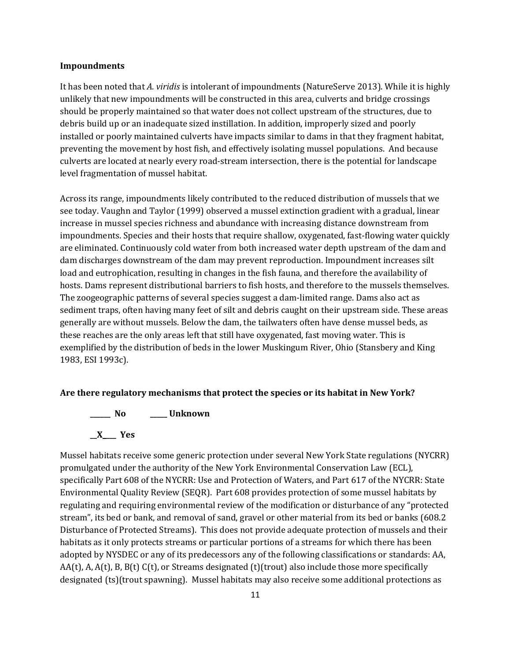#### **Impoundments**

It has been noted that *A. viridis* is intolerant of impoundments (NatureServe 2013). While it is highly unlikely that new impoundments will be constructed in this area, culverts and bridge crossings should be properly maintained so that water does not collect upstream of the structures, due to debris build up or an inadequate sized instillation. In addition, improperly sized and poorly installed or poorly maintained culverts have impacts similar to dams in that they fragment habitat, preventing the movement by host fish, and effectively isolating mussel populations. And because culverts are located at nearly every road-stream intersection, there is the potential for landscape level fragmentation of mussel habitat.

Across its range, impoundments likely contributed to the reduced distribution of mussels that we see today. Vaughn and Taylor (1999) observed a mussel extinction gradient with a gradual, linear increase in mussel species richness and abundance with increasing distance downstream from impoundments. Species and their hosts that require shallow, oxygenated, fast-flowing water quickly are eliminated. Continuously cold water from both increased water depth upstream of the dam and dam discharges downstream of the dam may prevent reproduction. Impoundment increases silt load and eutrophication, resulting in changes in the fish fauna, and therefore the availability of hosts. Dams represent distributional barriers to fish hosts, and therefore to the mussels themselves. The zoogeographic patterns of several species suggest a dam-limited range. Dams also act as sediment traps, often having many feet of silt and debris caught on their upstream side. These areas generally are without mussels. Below the dam, the tailwaters often have dense mussel beds, as these reaches are the only areas left that still have oxygenated, fast moving water. This is exemplified by the distribution of beds in the lower Muskingum River, Ohio (Stansbery and King 1983, ESI 1993c).

#### **Are there regulatory mechanisms that protect the species or its habitat in New York?**



Mussel habitats receive some generic protection under several New York State regulations (NYCRR) promulgated under the authority of the New York Environmental Conservation Law (ECL), specifically Part 608 of the NYCRR: Use and Protection of Waters, and Part 617 of the NYCRR: State Environmental Quality Review (SEQR). Part 608 provides protection of some mussel habitats by regulating and requiring environmental review of the modification or disturbance of any "protected stream", its bed or bank, and removal of sand, gravel or other material from its bed or banks (608.2 Disturbance of Protected Streams). This does not provide adequate protection of mussels and their habitats as it only protects streams or particular portions of a streams for which there has been adopted by NYSDEC or any of its predecessors any of the following classifications or standards: AA,  $AA(t)$ , A,  $A(t)$ , B,  $B(t)$  C(t), or Streams designated (t)(trout) also include those more specifically designated (ts)(trout spawning). Mussel habitats may also receive some additional protections as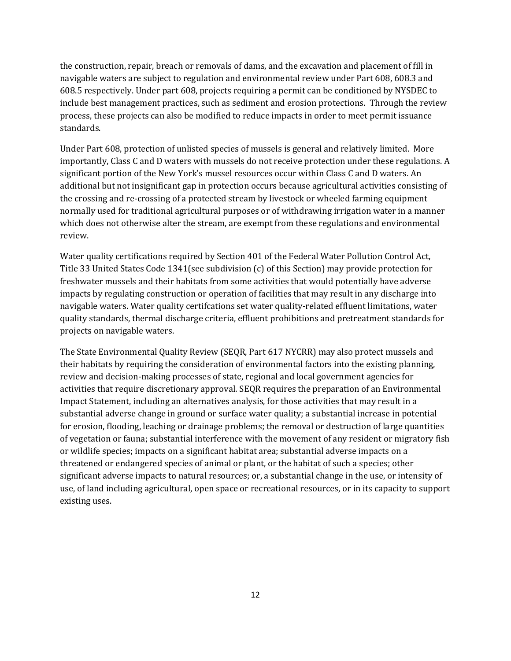the construction, repair, breach or removals of dams, and the excavation and placement of fill in navigable waters are subject to regulation and environmental review under Part 608, 608.3 and 608.5 respectively. Under part 608, projects requiring a permit can be conditioned by NYSDEC to include best management practices, such as sediment and erosion protections. Through the review process, these projects can also be modified to reduce impacts in order to meet permit issuance standards.

Under Part 608, protection of unlisted species of mussels is general and relatively limited. More importantly, Class C and D waters with mussels do not receive protection under these regulations. A significant portion of the New York's mussel resources occur within Class C and D waters. An additional but not insignificant gap in protection occurs because agricultural activities consisting of the crossing and re-crossing of a protected stream by livestock or wheeled farming equipment normally used for traditional agricultural purposes or of withdrawing irrigation water in a manner which does not otherwise alter the stream, are exempt from these regulations and environmental review.

Water quality certifications required by Section 401 of the Federal Water Pollution Control Act, Title 33 United States Code 1341(see subdivision (c) of this Section) may provide protection for freshwater mussels and their habitats from some activities that would potentially have adverse impacts by regulating construction or operation of facilities that may result in any discharge into navigable waters. Water quality certifcations set water quality-related effluent limitations, water quality standards, thermal discharge criteria, effluent prohibitions and pretreatment standards for projects on navigable waters.

The State Environmental Quality Review (SEQR, Part 617 NYCRR) may also protect mussels and their habitats by requiring the consideration of environmental factors into the existing planning, review and decision-making processes of state, regional and local government agencies for activities that require discretionary approval. SEQR requires the preparation of an Environmental Impact Statement, including an alternatives analysis, for those activities that may result in a substantial adverse change in ground or surface water quality; a substantial increase in potential for erosion, flooding, leaching or drainage problems; the removal or destruction of large quantities of vegetation or fauna; substantial interference with the movement of any resident or migratory fish or wildlife species; impacts on a significant habitat area; substantial adverse impacts on a threatened or endangered species of animal or plant, or the habitat of such a species; other significant adverse impacts to natural resources; or, a substantial change in the use, or intensity of use, of land including agricultural, open space or recreational resources, or in its capacity to support existing uses.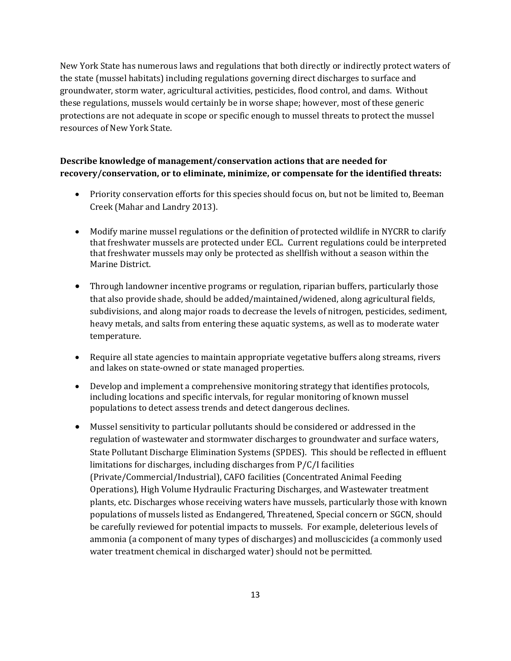New York State has numerous laws and regulations that both directly or indirectly protect waters of the state (mussel habitats) including regulations governing direct discharges to surface and groundwater, storm water, agricultural activities, pesticides, flood control, and dams. Without these regulations, mussels would certainly be in worse shape; however, most of these generic protections are not adequate in scope or specific enough to mussel threats to protect the mussel resources of New York State.

# **Describe knowledge of management/conservation actions that are needed for recovery/conservation, or to eliminate, minimize, or compensate for the identified threats:**

- Priority conservation efforts for this species should focus on, but not be limited to, Beeman Creek (Mahar and Landry 2013).
- Modify marine mussel regulations or the definition of protected wildlife in NYCRR to clarify that freshwater mussels are protected under ECL. Current regulations could be interpreted that freshwater mussels may only be protected as shellfish without a season within the Marine District.
- Through landowner incentive programs or regulation, riparian buffers, particularly those that also provide shade, should be added/maintained/widened, along agricultural fields, subdivisions, and along major roads to decrease the levels of nitrogen, pesticides, sediment, heavy metals, and salts from entering these aquatic systems, as well as to moderate water temperature.
- Require all state agencies to maintain appropriate vegetative buffers along streams, rivers and lakes on state-owned or state managed properties.
- Develop and implement a comprehensive monitoring strategy that identifies protocols, including locations and specific intervals, for regular monitoring of known mussel populations to detect assess trends and detect dangerous declines.
- Mussel sensitivity to particular pollutants should be considered or addressed in the regulation of wastewater and stormwater discharges to groundwater and surface waters, State Pollutant Discharge Elimination Systems (SPDES). This should be reflected in effluent limitations for discharges, including discharges from P/C/I facilities (Private/Commercial/Industrial), CAFO facilities (Concentrated Animal Feeding Operations), High Volume Hydraulic Fracturing Discharges, and Wastewater treatment plants, etc. Discharges whose receiving waters have mussels, particularly those with known populations of mussels listed as Endangered, Threatened, Special concern or SGCN, should be carefully reviewed for potential impacts to mussels. For example, deleterious levels of ammonia (a component of many types of discharges) and molluscicides (a commonly used water treatment chemical in discharged water) should not be permitted.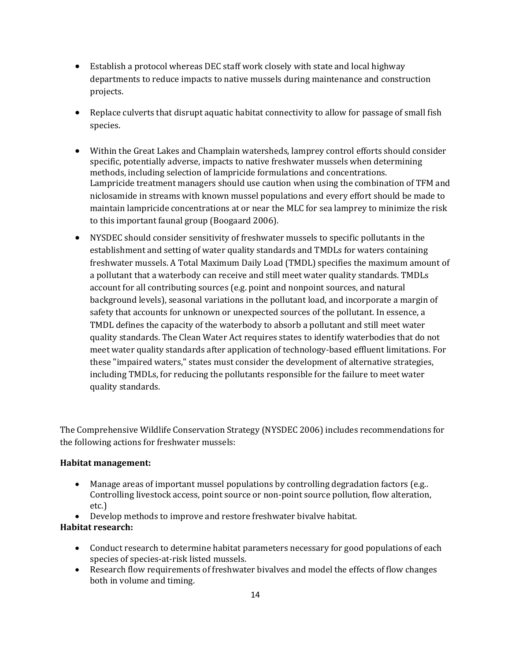- Establish a protocol whereas DEC staff work closely with state and local highway departments to reduce impacts to native mussels during maintenance and construction projects.
- Replace culverts that disrupt aquatic habitat connectivity to allow for passage of small fish species.
- Within the Great Lakes and Champlain watersheds, lamprey control efforts should consider specific, potentially adverse, impacts to native freshwater mussels when determining methods, including selection of lampricide formulations and concentrations. Lampricide treatment managers should use caution when using the combination of TFM and niclosamide in streams with known mussel populations and every effort should be made to maintain lampricide concentrations at or near the MLC for sea lamprey to minimize the risk to this important faunal group (Boogaard 2006).
- NYSDEC should consider sensitivity of freshwater mussels to specific pollutants in the establishment and setting of water quality standards and TMDLs for waters containing freshwater mussels. A Total Maximum Daily Load (TMDL) specifies the maximum amount of a pollutant that a waterbody can receive and still meet water quality standards. TMDLs account for all contributing sources (e.g. point and nonpoint sources, and natural background levels), seasonal variations in the pollutant load, and incorporate a margin of safety that accounts for unknown or unexpected sources of the pollutant. In essence, a TMDL defines the capacity of the waterbody to absorb a pollutant and still meet water quality standards. The Clean Water Act requires states to identify waterbodies that do not meet water quality standards after application of technology-based effluent limitations. For these "impaired waters," states must consider the development of alternative strategies, including TMDLs, for reducing the pollutants responsible for the failure to meet water quality standards.

The Comprehensive Wildlife Conservation Strategy (NYSDEC 2006) includes recommendations for the following actions for freshwater mussels:

### **Habitat management:**

- Manage areas of important mussel populations by controlling degradation factors (e.g.. Controlling livestock access, point source or non-point source pollution, flow alteration, etc.)
- Develop methods to improve and restore freshwater bivalve habitat.

# **Habitat research:**

- Conduct research to determine habitat parameters necessary for good populations of each species of species-at-risk listed mussels.
- Research flow requirements of freshwater bivalves and model the effects of flow changes both in volume and timing.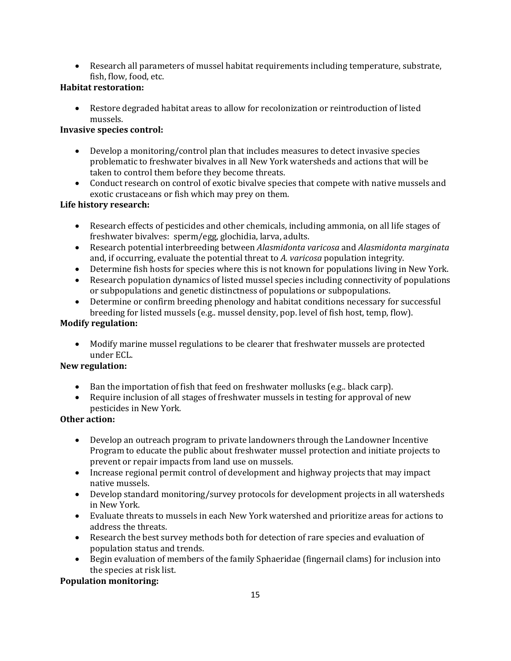• Research all parameters of mussel habitat requirements including temperature, substrate, fish, flow, food, etc.

# **Habitat restoration:**

• Restore degraded habitat areas to allow for recolonization or reintroduction of listed mussels.

# **Invasive species control:**

- Develop a monitoring/control plan that includes measures to detect invasive species problematic to freshwater bivalves in all New York watersheds and actions that will be taken to control them before they become threats.
- Conduct research on control of exotic bivalve species that compete with native mussels and exotic crustaceans or fish which may prey on them.

# **Life history research:**

- Research effects of pesticides and other chemicals, including ammonia, on all life stages of freshwater bivalves: sperm/egg, glochidia, larva, adults.
- Research potential interbreeding between *Alasmidonta varicosa* and *Alasmidonta marginata* and, if occurring, evaluate the potential threat to *A. varicosa* population integrity.
- Determine fish hosts for species where this is not known for populations living in New York.
- Research population dynamics of listed mussel species including connectivity of populations or subpopulations and genetic distinctness of populations or subpopulations.
- Determine or confirm breeding phenology and habitat conditions necessary for successful breeding for listed mussels (e.g.. mussel density, pop. level of fish host, temp, flow).

# **Modify regulation:**

• Modify marine mussel regulations to be clearer that freshwater mussels are protected under ECL.

# **New regulation:**

- Ban the importation of fish that feed on freshwater mollusks (e.g.. black carp).
- Require inclusion of all stages of freshwater mussels in testing for approval of new pesticides in New York*.*

# **Other action:**

- Develop an outreach program to private landowners through the Landowner Incentive Program to educate the public about freshwater mussel protection and initiate projects to prevent or repair impacts from land use on mussels.
- Increase regional permit control of development and highway projects that may impact native mussels.
- Develop standard monitoring/survey protocols for development projects in all watersheds in New York.
- Evaluate threats to mussels in each New York watershed and prioritize areas for actions to address the threats.
- Research the best survey methods both for detection of rare species and evaluation of population status and trends.
- Begin evaluation of members of the family Sphaeridae (fingernail clams) for inclusion into the species at risk list.

# **Population monitoring:**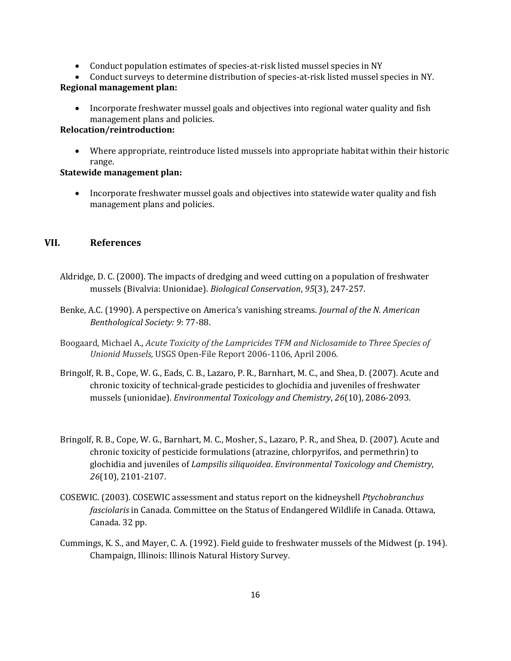- Conduct population estimates of species-at-risk listed mussel species in NY
- Conduct surveys to determine distribution of species-at-risk listed mussel species in NY.

# **Regional management plan:**

• Incorporate freshwater mussel goals and objectives into regional water quality and fish management plans and policies.

# **Relocation/reintroduction:**

• Where appropriate, reintroduce listed mussels into appropriate habitat within their historic range.

#### **Statewide management plan:**

• Incorporate freshwater mussel goals and objectives into statewide water quality and fish management plans and policies.

## **VII. References**

- Aldridge, D. C. (2000). The impacts of dredging and weed cutting on a population of freshwater mussels (Bivalvia: Unionidae). *Biological Conservation*, *95*(3), 247-257.
- Benke, A.C. (1990). A perspective on America's vanishing streams. *Journal of the N. American Benthological Society: 9*: 77-88.
- Boogaard, Michael A., *Acute Toxicity of the Lampricides TFM and Niclosamide to Three Species of Unionid Mussels,* USGS Open-File Report 2006-1106, April 2006.
- Bringolf, R. B., Cope, W. G., Eads, C. B., Lazaro, P. R., Barnhart, M. C., and Shea, D. (2007). Acute and chronic toxicity of technical‐grade pesticides to glochidia and juveniles of freshwater mussels (unionidae). *Environmental Toxicology and Chemistry*, *26*(10), 2086-2093.
- Bringolf, R. B., Cope, W. G., Barnhart, M. C., Mosher, S., Lazaro, P. R., and Shea, D. (2007). Acute and chronic toxicity of pesticide formulations (atrazine, chlorpyrifos, and permethrin) to glochidia and juveniles of *Lampsilis siliquoidea*. *Environmental Toxicology and Chemistry*, *26*(10), 2101-2107.
- COSEWIC. (2003). COSEWIC assessment and status report on the kidneyshell *Ptychobranchus fasciolaris* in Canada. Committee on the Status of Endangered Wildlife in Canada. Ottawa, Canada. 32 pp.
- Cummings, K. S., and Mayer, C. A. (1992). Field guide to freshwater mussels of the Midwest (p. 194). Champaign, Illinois: Illinois Natural History Survey.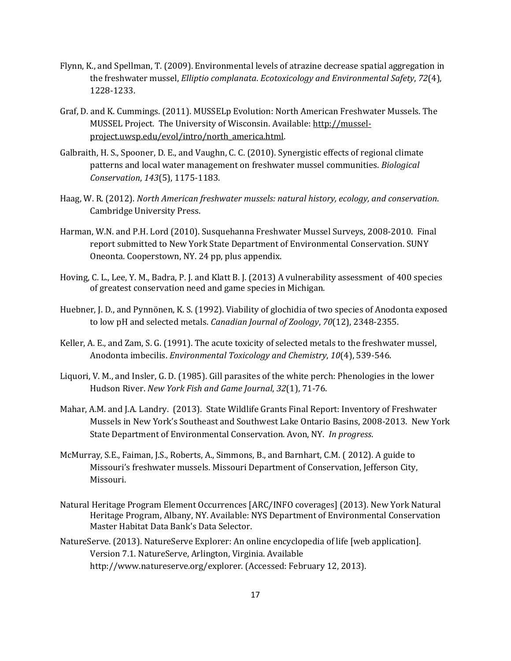- Flynn, K., and Spellman, T. (2009). Environmental levels of atrazine decrease spatial aggregation in the freshwater mussel, *Elliptio complanata*. *Ecotoxicology and Environmental Safety*, *72*(4), 1228-1233.
- Graf, D. and K. Cummings. (2011). MUSSELp Evolution: North American Freshwater Mussels. The MUSSEL Project. The University of Wisconsin. Available: [http://mussel](http://mussel-project.uwsp.edu/evol/intro/north_america.html)[project.uwsp.edu/evol/intro/north\\_america.html.](http://mussel-project.uwsp.edu/evol/intro/north_america.html)
- Galbraith, H. S., Spooner, D. E., and Vaughn, C. C. (2010). Synergistic effects of regional climate patterns and local water management on freshwater mussel communities. *Biological Conservation*, *143*(5), 1175-1183.
- Haag, W. R. (2012). *North American freshwater mussels: natural history, ecology, and conservation*. Cambridge University Press.
- Harman, W.N. and P.H. Lord (2010). Susquehanna Freshwater Mussel Surveys, 2008-2010. Final report submitted to New York State Department of Environmental Conservation. SUNY Oneonta. Cooperstown, NY. 24 pp, plus appendix.
- Hoving, C. L., Lee, Y. M., Badra, P. J. and Klatt B. J. (2013) A vulnerability assessment of 400 species of greatest conservation need and game species in Michigan.
- Huebner, J. D., and Pynnönen, K. S. (1992). Viability of glochidia of two species of Anodonta exposed to low pH and selected metals. *Canadian Journal of Zoology*, *70*(12), 2348-2355.
- Keller, A. E., and Zam, S. G. (1991). The acute toxicity of selected metals to the freshwater mussel, Anodonta imbecilis. *Environmental Toxicology and Chemistry*, *10*(4), 539-546.
- Liquori, V. M., and Insler, G. D. (1985). Gill parasites of the white perch: Phenologies in the lower Hudson River. *New York Fish and Game Journal*, *32*(1), 71-76.
- Mahar, A.M. and J.A. Landry. (2013). State Wildlife Grants Final Report: Inventory of Freshwater Mussels in New York's Southeast and Southwest Lake Ontario Basins, 2008-2013. New York State Department of Environmental Conservation. Avon, NY. *In progress*.
- McMurray, S.E., Faiman, J.S., Roberts, A., Simmons, B., and Barnhart, C.M. ( 2012). A guide to Missouri's freshwater mussels. Missouri Department of Conservation, Jefferson City, Missouri.
- Natural Heritage Program Element Occurrences [ARC/INFO coverages] (2013). New York Natural Heritage Program, Albany, NY. Available: NYS Department of Environmental Conservation Master Habitat Data Bank's Data Selector.
- NatureServe. (2013). NatureServe Explorer: An online encyclopedia of life [web application]. Version 7.1. NatureServe, Arlington, Virginia. Available http://www.natureserve.org/explorer. (Accessed: February 12, 2013).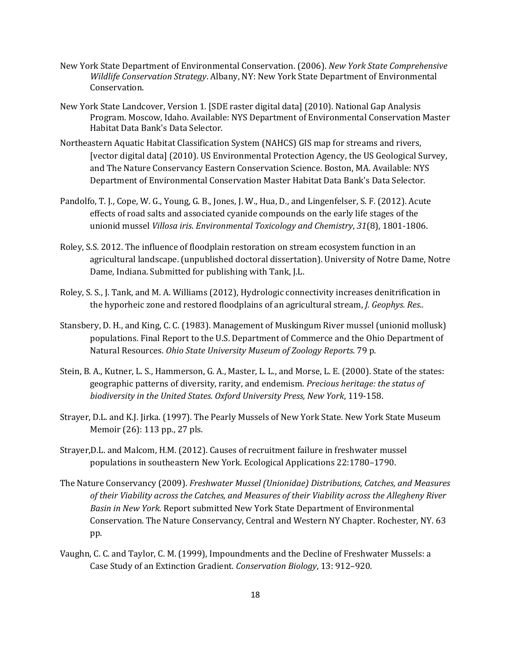- New York State Department of Environmental Conservation. (2006). *New York State Comprehensive Wildlife Conservation Strategy*. Albany, NY: New York State Department of Environmental Conservation.
- New York State Landcover, Version 1. [SDE raster digital data] (2010). National Gap Analysis Program. Moscow, Idaho. Available: NYS Department of Environmental Conservation Master Habitat Data Bank's Data Selector.
- Northeastern Aquatic Habitat Classification System (NAHCS) GIS map for streams and rivers, [vector digital data] (2010). US Environmental Protection Agency, the US Geological Survey, and The Nature Conservancy Eastern Conservation Science. Boston, MA. Available: NYS Department of Environmental Conservation Master Habitat Data Bank's Data Selector.
- Pandolfo, T. J., Cope, W. G., Young, G. B., Jones, J. W., Hua, D., and Lingenfelser, S. F. (2012). Acute effects of road salts and associated cyanide compounds on the early life stages of the unionid mussel *Villosa iris*. *Environmental Toxicology and Chemistry*, *31*(8), 1801-1806.
- Roley, S.S. 2012. The influence of floodplain restoration on stream ecosystem function in an agricultural landscape. (unpublished doctoral dissertation). University of Notre Dame, Notre Dame, Indiana. Submitted for publishing with Tank, J.L.
- Roley, S. S., J. Tank, and M. A. Williams (2012), Hydrologic connectivity increases denitrification in the hyporheic zone and restored floodplains of an agricultural stream, *J. Geophys. Res..*
- Stansbery, D. H., and King, C. C. (1983). Management of Muskingum River mussel (unionid mollusk) populations. Final Report to the U.S. Department of Commerce and the Ohio Department of Natural Resources. *Ohio State University Museum of Zoology Reports*. 79 p.
- Stein, B. A., Kutner, L. S., Hammerson, G. A., Master, L. L., and Morse, L. E. (2000). State of the states: geographic patterns of diversity, rarity, and endemism. *Precious heritage: the status of biodiversity in the United States. Oxford University Press, New York*, 119-158.
- Strayer, D.L. and K.J. Jirka. (1997). The Pearly Mussels of New York State. New York State Museum Memoir (26): 113 pp., 27 pls.
- Strayer,D.L. and Malcom, H.M. (2012). Causes of recruitment failure in freshwater mussel populations in southeastern New York. Ecological Applications 22:1780–1790.
- The Nature Conservancy (2009). *Freshwater Mussel (Unionidae) Distributions, Catches, and Measures of their Viability across the Catches, and Measures of their Viability across the Allegheny River Basin in New York.* Report submitted New York State Department of Environmental Conservation. The Nature Conservancy, Central and Western NY Chapter. Rochester, NY. 63 pp.
- Vaughn, C. C. and Taylor, C. M. (1999), Impoundments and the Decline of Freshwater Mussels: a Case Study of an Extinction Gradient. *Conservation Biology*, 13: 912–920.